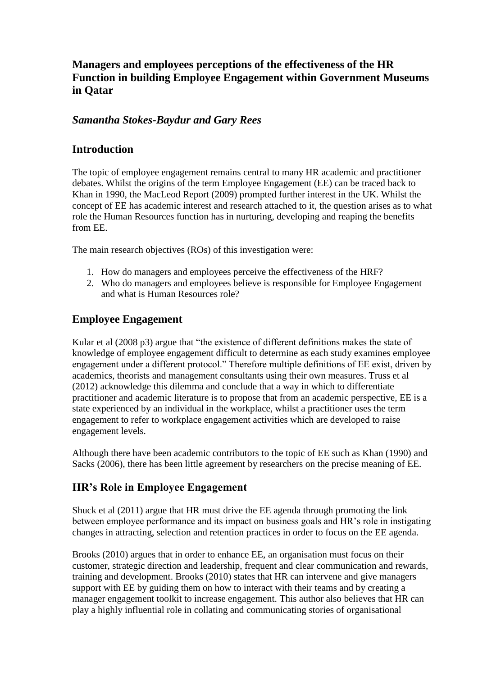# **Managers and employees perceptions of the effectiveness of the HR Function in building Employee Engagement within Government Museums in Qatar**

### *Samantha Stokes-Baydur and Gary Rees*

### **Introduction**

The topic of employee engagement remains central to many HR academic and practitioner debates. Whilst the origins of the term Employee Engagement (EE) can be traced back to Khan in 1990, the MacLeod Report (2009) prompted further interest in the UK. Whilst the concept of EE has academic interest and research attached to it, the question arises as to what role the Human Resources function has in nurturing, developing and reaping the benefits from EE.

The main research objectives (ROs) of this investigation were:

- 1. How do managers and employees perceive the effectiveness of the HRF?
- 2. Who do managers and employees believe is responsible for Employee Engagement and what is Human Resources role?

# **Employee Engagement**

Kular et al (2008 p3) argue that "the existence of different definitions makes the state of knowledge of employee engagement difficult to determine as each study examines employee engagement under a different protocol." Therefore multiple definitions of EE exist, driven by academics, theorists and management consultants using their own measures. Truss et al (2012) acknowledge this dilemma and conclude that a way in which to differentiate practitioner and academic literature is to propose that from an academic perspective, EE is a state experienced by an individual in the workplace, whilst a practitioner uses the term engagement to refer to workplace engagement activities which are developed to raise engagement levels.

Although there have been academic contributors to the topic of EE such as Khan (1990) and Sacks (2006), there has been little agreement by researchers on the precise meaning of EE.

# **HR's Role in Employee Engagement**

Shuck et al (2011) argue that HR must drive the EE agenda through promoting the link between employee performance and its impact on business goals and HR's role in instigating changes in attracting, selection and retention practices in order to focus on the EE agenda.

Brooks (2010) argues that in order to enhance EE, an organisation must focus on their customer, strategic direction and leadership, frequent and clear communication and rewards, training and development. Brooks (2010) states that HR can intervene and give managers support with EE by guiding them on how to interact with their teams and by creating a manager engagement toolkit to increase engagement. This author also believes that HR can play a highly influential role in collating and communicating stories of organisational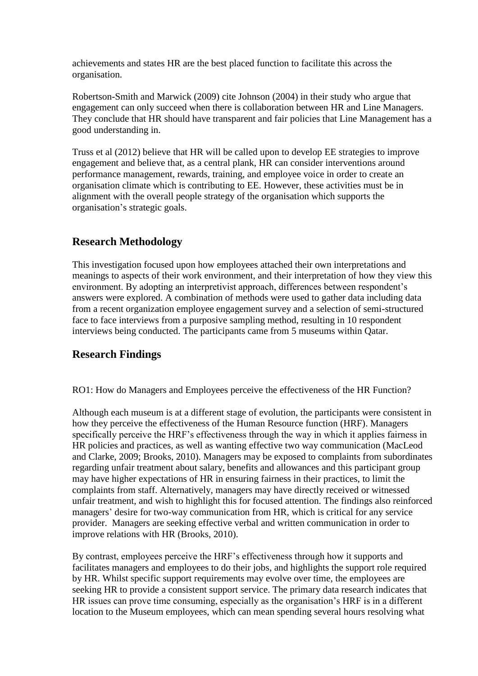achievements and states HR are the best placed function to facilitate this across the organisation.

Robertson-Smith and Marwick (2009) cite Johnson (2004) in their study who argue that engagement can only succeed when there is collaboration between HR and Line Managers. They conclude that HR should have transparent and fair policies that Line Management has a good understanding in.

Truss et al (2012) believe that HR will be called upon to develop EE strategies to improve engagement and believe that, as a central plank, HR can consider interventions around performance management, rewards, training, and employee voice in order to create an organisation climate which is contributing to EE. However, these activities must be in alignment with the overall people strategy of the organisation which supports the organisation's strategic goals.

### **Research Methodology**

This investigation focused upon how employees attached their own interpretations and meanings to aspects of their work environment, and their interpretation of how they view this environment. By adopting an interpretivist approach, differences between respondent's answers were explored. A combination of methods were used to gather data including data from a recent organization employee engagement survey and a selection of semi-structured face to face interviews from a purposive sampling method, resulting in 10 respondent interviews being conducted. The participants came from 5 museums within Qatar.

#### **Research Findings**

RO1: How do Managers and Employees perceive the effectiveness of the HR Function?

Although each museum is at a different stage of evolution, the participants were consistent in how they perceive the effectiveness of the Human Resource function (HRF). Managers specifically perceive the HRF's effectiveness through the way in which it applies fairness in HR policies and practices, as well as wanting effective two way communication (MacLeod and Clarke, 2009; Brooks, 2010). Managers may be exposed to complaints from subordinates regarding unfair treatment about salary, benefits and allowances and this participant group may have higher expectations of HR in ensuring fairness in their practices, to limit the complaints from staff. Alternatively, managers may have directly received or witnessed unfair treatment, and wish to highlight this for focused attention. The findings also reinforced managers' desire for two-way communication from HR, which is critical for any service provider. Managers are seeking effective verbal and written communication in order to improve relations with HR (Brooks, 2010).

By contrast, employees perceive the HRF's effectiveness through how it supports and facilitates managers and employees to do their jobs, and highlights the support role required by HR. Whilst specific support requirements may evolve over time, the employees are seeking HR to provide a consistent support service. The primary data research indicates that HR issues can prove time consuming, especially as the organisation's HRF is in a different location to the Museum employees, which can mean spending several hours resolving what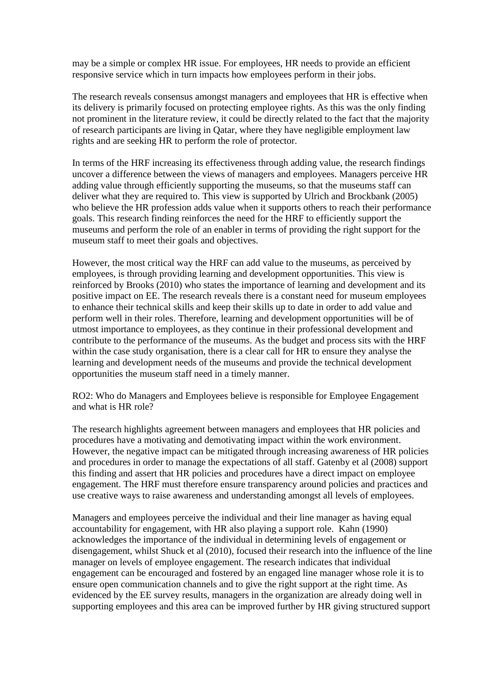may be a simple or complex HR issue. For employees, HR needs to provide an efficient responsive service which in turn impacts how employees perform in their jobs.

The research reveals consensus amongst managers and employees that HR is effective when its delivery is primarily focused on protecting employee rights. As this was the only finding not prominent in the literature review, it could be directly related to the fact that the majority of research participants are living in Qatar, where they have negligible employment law rights and are seeking HR to perform the role of protector.

In terms of the HRF increasing its effectiveness through adding value, the research findings uncover a difference between the views of managers and employees. Managers perceive HR adding value through efficiently supporting the museums, so that the museums staff can deliver what they are required to. This view is supported by Ulrich and Brockbank (2005) who believe the HR profession adds value when it supports others to reach their performance goals. This research finding reinforces the need for the HRF to efficiently support the museums and perform the role of an enabler in terms of providing the right support for the museum staff to meet their goals and objectives.

However, the most critical way the HRF can add value to the museums, as perceived by employees, is through providing learning and development opportunities. This view is reinforced by Brooks (2010) who states the importance of learning and development and its positive impact on EE. The research reveals there is a constant need for museum employees to enhance their technical skills and keep their skills up to date in order to add value and perform well in their roles. Therefore, learning and development opportunities will be of utmost importance to employees, as they continue in their professional development and contribute to the performance of the museums. As the budget and process sits with the HRF within the case study organisation, there is a clear call for HR to ensure they analyse the learning and development needs of the museums and provide the technical development opportunities the museum staff need in a timely manner.

RO2: Who do Managers and Employees believe is responsible for Employee Engagement and what is HR role?

The research highlights agreement between managers and employees that HR policies and procedures have a motivating and demotivating impact within the work environment. However, the negative impact can be mitigated through increasing awareness of HR policies and procedures in order to manage the expectations of all staff. Gatenby et al (2008) support this finding and assert that HR policies and procedures have a direct impact on employee engagement. The HRF must therefore ensure transparency around policies and practices and use creative ways to raise awareness and understanding amongst all levels of employees.

Managers and employees perceive the individual and their line manager as having equal accountability for engagement, with HR also playing a support role. Kahn (1990) acknowledges the importance of the individual in determining levels of engagement or disengagement, whilst Shuck et al (2010), focused their research into the influence of the line manager on levels of employee engagement. The research indicates that individual engagement can be encouraged and fostered by an engaged line manager whose role it is to ensure open communication channels and to give the right support at the right time. As evidenced by the EE survey results, managers in the organization are already doing well in supporting employees and this area can be improved further by HR giving structured support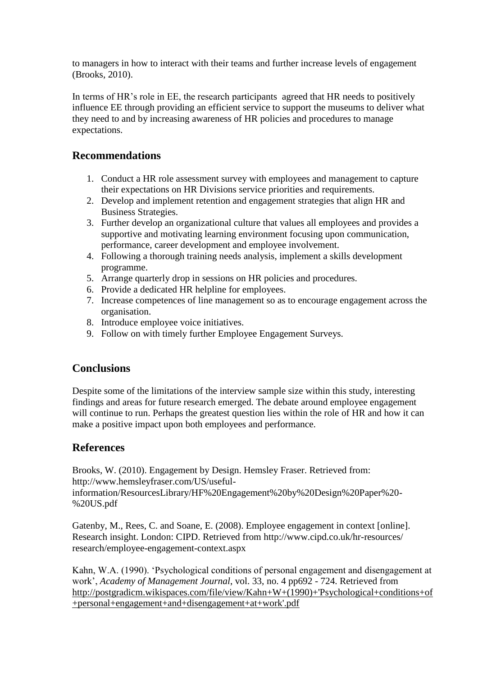to managers in how to interact with their teams and further increase levels of engagement (Brooks, 2010).

In terms of HR's role in EE, the research participants agreed that HR needs to positively influence EE through providing an efficient service to support the museums to deliver what they need to and by increasing awareness of HR policies and procedures to manage expectations.

### **Recommendations**

- 1. Conduct a HR role assessment survey with employees and management to capture their expectations on HR Divisions service priorities and requirements.
- 2. Develop and implement retention and engagement strategies that align HR and Business Strategies.
- 3. Further develop an organizational culture that values all employees and provides a supportive and motivating learning environment focusing upon communication, performance, career development and employee involvement.
- 4. Following a thorough training needs analysis, implement a skills development programme.
- 5. Arrange quarterly drop in sessions on HR policies and procedures.
- 6. Provide a dedicated HR helpline for employees.
- 7. Increase competences of line management so as to encourage engagement across the organisation.
- 8. Introduce employee voice initiatives.
- 9. Follow on with timely further Employee Engagement Surveys.

# **Conclusions**

Despite some of the limitations of the interview sample size within this study, interesting findings and areas for future research emerged. The debate around employee engagement will continue to run. Perhaps the greatest question lies within the role of HR and how it can make a positive impact upon both employees and performance.

# **References**

Brooks, W. (2010). Engagement by Design. Hemsley Fraser. Retrieved from: http://www.hemsleyfraser.com/US/useful-

information/ResourcesLibrary/HF%20Engagement%20by%20Design%20Paper%20- %20US.pdf

Gatenby, M., Rees, C. and Soane, E. (2008). Employee engagement in context [online]. Research insight. London: CIPD. Retrieved from http://www.cipd.co.uk/hr-resources/ research/employee-engagement-context.aspx

Kahn, W.A. (1990). 'Psychological conditions of personal engagement and disengagement at work', *Academy of Management Journal*, vol. 33, no. 4 pp692 - 724. Retrieved from [http://postgradicm.wikispaces.com/file/view/Kahn+W+\(1990\)+'Psychological+conditions+of](http://postgradicm.wikispaces.com/file/view/Kahn+W+(1990)+) [+personal+engagement+and+disengagement+at+work'.pdf](http://postgradicm.wikispaces.com/file/view/Kahn+W+(1990)+)